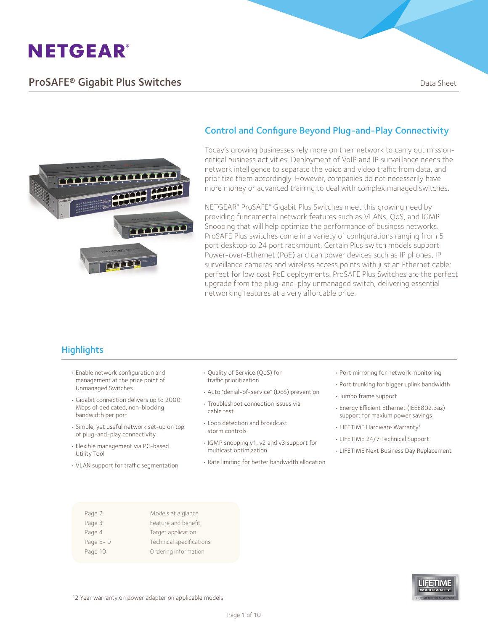### **ProSAFE® Gigabit Plus Switches Data Sheet** Data Sheet



#### Control and Configure Beyond Plug-and-Play Connectivity

Today's growing businesses rely more on their network to carry out missioncritical business activities. Deployment of VoIP and IP surveillance needs the network intelligence to separate the voice and video traffic from data, and prioritize them accordingly. However, companies do not necessarily have more money or advanced training to deal with complex managed switches.

NETGEAR® ProSAFE® Gigabit Plus Switches meet this growing need by providing fundamental network features such as VLANs, QoS, and IGMP Snooping that will help optimize the performance of business networks. ProSAFE Plus switches come in a variety of configurations ranging from 5 port desktop to 24 port rackmount. Certain Plus switch models support Power-over-Ethernet (PoE) and can power devices such as IP phones, IP surveillance cameras and wireless access points with just an Ethernet cable; perfect for low cost PoE deployments. ProSAFE Plus Switches are the perfect upgrade from the plug-and-play unmanaged switch, delivering essential networking features at a very affordable price.

### **Highlights**

- • Enable network configuration and management at the price point of Unmanaged Switches
- • Gigabit connection delivers up to 2000 Mbps of dedicated, non-blocking bandwidth per port
- • Simple, yet useful network set-up on top of plug-and-play connectivity
- • Flexible management via PC-based Utility Tool
- • VLAN support for traffic segmentation
- • Quality of Service (QoS) for traffic prioritization
- • Auto "denial-of-service" (DoS) prevention
- Troubleshoot connection issues via
- • Loop detection and broadcast storm controls

cable test

- • IGMP snooping v1, v2 and v3 support for multicast optimization
- • Rate limiting for better bandwidth allocation
- • Port mirroring for network monitoring
- Port trunking for bigger uplink bandwidth
- • Jumbo frame support
- • Energy Efficient Ethernet (IEEE802.3az) support for maxium power savings
- LIFETIME Hardware Warranty<sup>1</sup>
- • LIFETIME 24/7 Technical Support
- • LIFETIME Next Business Day Replacement

| Page 2   | Models at a glance       |
|----------|--------------------------|
| Page 3   | Feature and benefit      |
| Page 4   | Target application       |
| Page 5-9 | Technical specifications |
| Page 10  | Ordering information     |
|          |                          |



1 2 Year warranty on power adapter on applicable models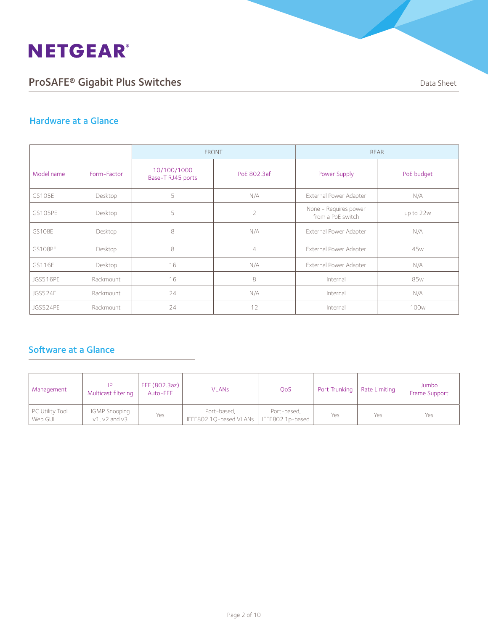# ProSAFE® Gigabit Plus Switches **Data Sheet** Data Sheet

#### Hardware at a Glance

|               |             | <b>FRONT</b>                     |                |                                            | <b>REAR</b>      |
|---------------|-------------|----------------------------------|----------------|--------------------------------------------|------------------|
| Model name    | Form-Factor | 10/100/1000<br>Base-T RJ45 ports | PoE 802.3af    | Power Supply                               | PoE budget       |
| GS105E        | Desktop     | 5                                | N/A            | External Power Adapter                     | N/A              |
| GS105PE       | Desktop     | 5                                | $\overline{2}$ | None - Requires power<br>from a PoE switch | up to 22w        |
| <b>GS108E</b> | Desktop     | 8                                | N/A            | External Power Adapter                     | N/A              |
| GS108PE       | Desktop     | 8                                | $\overline{4}$ | External Power Adapter                     | 45 <sub>w</sub>  |
| GS116E        | Desktop     | 16                               | N/A            | External Power Adapter                     | N/A              |
| JGS516PE      | Rackmount   | 16                               | 8              | Internal                                   | 85w              |
| JGS524E       | Rackmount   | 24                               | N/A            | Internal                                   | N/A              |
| JGS524PE      | Rackmount   | 24                               | 12             | Internal                                   | 100 <sub>w</sub> |

### Software at a Glance

| Management                 | Multicast filtering                          | EEE (802.3az)<br>Auto-EEE | <b>VLANS</b>                          | <b>OoS</b>                      |     | Port Trunking   Rate Limiting | Jumbo<br>Frame Support |
|----------------------------|----------------------------------------------|---------------------------|---------------------------------------|---------------------------------|-----|-------------------------------|------------------------|
| PC Utility Tool<br>Web GUI | <b>IGMP Snooping</b><br>$v1$ , $v2$ and $v3$ | Yes                       | Port-based,<br>IEEE802.10-based VLANs | Port-based,<br>IEEE802.1p-based | Yes | Yes                           | Yes                    |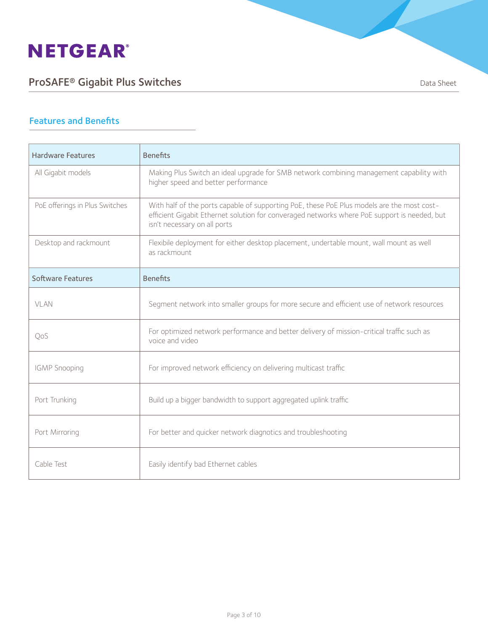# ProSAFE® Gigabit Plus Switches **Data Sheet** Data Sheet

#### Features and Benefits

| <b>Hardware Features</b>       | <b>Benefits</b>                                                                                                                                                                                                            |
|--------------------------------|----------------------------------------------------------------------------------------------------------------------------------------------------------------------------------------------------------------------------|
| All Gigabit models             | Making Plus Switch an ideal upgrade for SMB network combining management capability with<br>higher speed and better performance                                                                                            |
| PoE offerings in Plus Switches | With half of the ports capable of supporting PoE, these PoE Plus models are the most cost-<br>efficient Gigabit Ethernet solution for converaged networks where PoE support is needed, but<br>isn't necessary on all ports |
| Desktop and rackmount          | Flexibile deployment for either desktop placement, undertable mount, wall mount as well<br>as rackmount                                                                                                                    |
| <b>Software Features</b>       | <b>Benefits</b>                                                                                                                                                                                                            |
| VLAN                           | Segment network into smaller groups for more secure and efficient use of network resources                                                                                                                                 |
| QoS                            | For optimized network performance and better delivery of mission-critical traffic such as<br>voice and video                                                                                                               |
| <b>IGMP</b> Snooping           | For improved network efficiency on delivering multicast traffic                                                                                                                                                            |
| Port Trunking                  | Build up a bigger bandwidth to support aggregated uplink traffic                                                                                                                                                           |
| Port Mirroring                 | For better and quicker network diagnotics and troubleshooting                                                                                                                                                              |
| Cable Test                     | Easily identify bad Ethernet cables                                                                                                                                                                                        |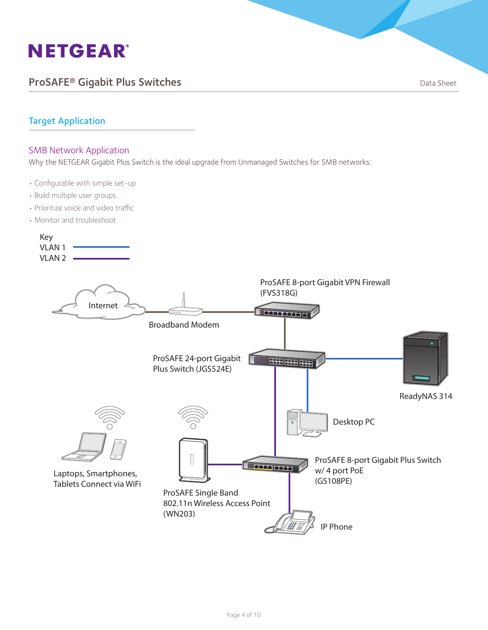### ProSAFE® Gigabit Plus Switches **Data Sheet** Data Sheet

#### Target Application

#### SMB Network Application

Why the NETGEAR Gigabit Plus Switch is the ideal upgrade from Unmanaged Switches for SMB networks:

- • Configurable with simple set-up
- • Build multiple user groups
- Prioritize voice and video traffic
- Monitor and troubleshoot

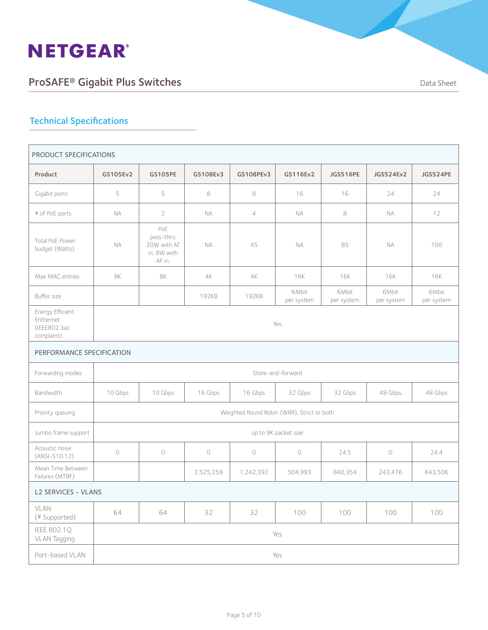# ProSAFE® Gigabit Plus Switches **Data Sheet** Data Sheet

| PRODUCT SPECIFICATIONS                                      |           |                                                           |            |                |                                            |                     |                     |                     |
|-------------------------------------------------------------|-----------|-----------------------------------------------------------|------------|----------------|--------------------------------------------|---------------------|---------------------|---------------------|
| Product                                                     | GS105Ev2  | <b>GS105PE</b>                                            | GS108Ev3   | GS108PEv3      | GS116Ev2                                   | JGS516PE            | JGS524Ev2           | JGS524PE            |
| Gigabit ports                                               | 5         | 5                                                         | 8          | 8              | 16                                         | 16                  | 24                  | 24                  |
| # of PoE ports                                              | <b>NA</b> | $\overline{2}$                                            | <b>NA</b>  | $\overline{4}$ | <b>NA</b>                                  | 8                   | <b>NA</b>           | 12                  |
| Total PoE Power<br>budget (Watts)                           | <b>NA</b> | PoE<br>pass-thru:<br>20W with AT<br>in, 8W with<br>AF in. | <b>NA</b>  | 45             | <b>NA</b>                                  | 85                  | <b>NA</b>           | 100                 |
| Max MAC entries                                             | <b>8K</b> | <b>8K</b>                                                 | 4K         | 4K             | <b>16K</b>                                 | 16K                 | 16K                 | 16K                 |
| Buffer size                                                 |           |                                                           | 192KB      | 192KB          | 6Mbit<br>per system                        | 6Mbit<br>per system | 6Mbit<br>per system | 6Mbit<br>per system |
| Energy Efficient<br>Enthernet<br>(IEEE802.3az<br>complaint) | Yes       |                                                           |            |                |                                            |                     |                     |                     |
| PERFORMANCE SPECIFICATION                                   |           |                                                           |            |                |                                            |                     |                     |                     |
| Forwarding modes                                            |           |                                                           |            |                | Store-and-forward                          |                     |                     |                     |
| <b>Bandwidth</b>                                            | 10 Gbps   | 10 Gbps                                                   | 16 Gbps    | 16 Gbps        | 32 Gbps                                    | 32 Gbps             | 48 Gbps             | 48 Gbps             |
| Priority queuing                                            |           |                                                           |            |                | Weighted Round Robin (WRR), Strict or both |                     |                     |                     |
| Jumbo frame support                                         |           |                                                           |            |                | up to 9K packet size                       |                     |                     |                     |
| Acoustic noise<br>$(ANSI-S10.12)$                           | $\circ$   | $\circ$                                                   | $\bigcirc$ | $\circ$        | $\circ$                                    | 24.5                | $\circlearrowright$ | 24.4                |
| Mean Time Between<br>Failures (MTBF)                        |           |                                                           | 2,525,259  | 1,242,392      | 504,993                                    | 840,354             | 243,476             | 643,506             |
| <b>L2 SERVICES - VLANS</b>                                  |           |                                                           |            |                |                                            |                     |                     |                     |
| VLAN<br>(# Supported)                                       | 64        | 64                                                        | 32         | 32             | 100                                        | 100                 | 100                 | 100                 |
| IEEE 802.1Q<br>VLAN Tagging                                 |           |                                                           |            |                | Yes                                        |                     |                     |                     |
| Port-based VLAN                                             |           | Yes                                                       |            |                |                                            |                     |                     |                     |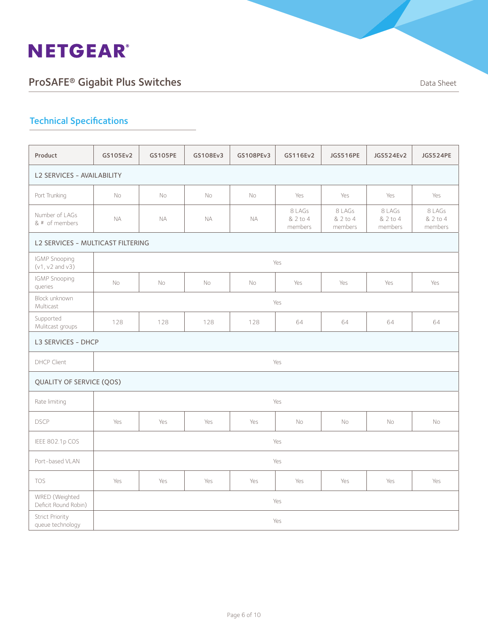

| Product                                    | GS105Ev2                          | <b>GS105PE</b> | GS108Ev3  | GS108PEv3 | GS116Ev2                      | <b>JGS516PE</b>               | JGS524Ev2                     | JGS524PE                      |
|--------------------------------------------|-----------------------------------|----------------|-----------|-----------|-------------------------------|-------------------------------|-------------------------------|-------------------------------|
| <b>L2 SERVICES - AVAILABILITY</b>          |                                   |                |           |           |                               |                               |                               |                               |
| Port Trunking                              | <b>No</b>                         | <b>No</b>      | <b>No</b> | No        | Yes                           | Yes                           | Yes                           | Yes                           |
| Number of LAGs<br>& # of members           | <b>NA</b>                         | NA             | <b>NA</b> | <b>NA</b> | 8 LAGs<br>& 2 to 4<br>members | 8 LAGs<br>& 2 to 4<br>members | 8 LAGs<br>& 2 to 4<br>members | 8 LAGs<br>& 2 to 4<br>members |
|                                            | L2 SERVICES - MULTICAST FILTERING |                |           |           |                               |                               |                               |                               |
| IGMP Snooping<br>$(v1, v2$ and $v3)$       |                                   |                |           |           | Yes                           |                               |                               |                               |
| IGMP Snooping<br>queries                   | <b>No</b>                         | No             | No        | No        | Yes                           | Yes                           | Yes                           | Yes                           |
| Block unknown<br>Multicast                 | Yes                               |                |           |           |                               |                               |                               |                               |
| Supported<br>Mulitcast groups              | 128                               | 128            | 128       | 128       | 64                            | 64                            | 64                            | 64                            |
| L3 SERVICES - DHCP                         |                                   |                |           |           |                               |                               |                               |                               |
| <b>DHCP Client</b>                         |                                   |                |           |           | Yes                           |                               |                               |                               |
| QUALITY OF SERVICE (QOS)                   |                                   |                |           |           |                               |                               |                               |                               |
| Rate limiting                              |                                   |                |           |           | Yes                           |                               |                               |                               |
| <b>DSCP</b>                                | Yes                               | Yes            | Yes       | Yes       | No                            | No                            | No                            | No                            |
| IEEE 802.1p COS                            |                                   |                |           |           | Yes                           |                               |                               |                               |
| Port-based VLAN                            |                                   |                |           |           | Yes                           |                               |                               |                               |
| <b>TOS</b>                                 | Yes                               | Yes            | Yes       | Yes       | Yes                           | Yes                           | Yes                           | Yes                           |
| WRED (Weighted<br>Deficit Round Robin)     |                                   |                |           |           | Yes                           |                               |                               |                               |
| <b>Strict Priority</b><br>queue technology |                                   |                |           |           | Yes                           |                               |                               |                               |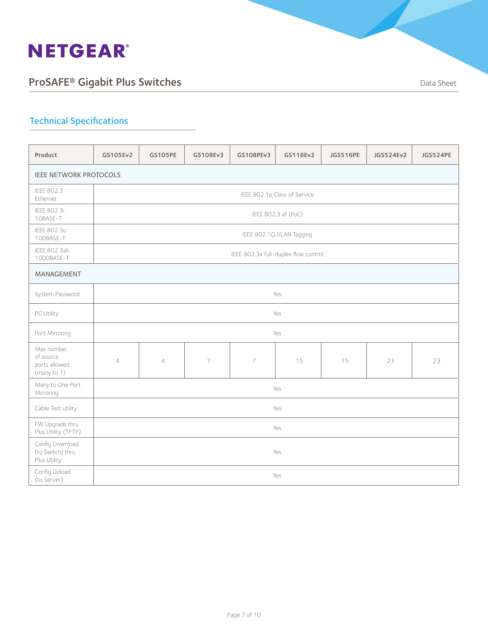

| Product                                                 | GS105Ev2       | <b>GS105PE</b> | GS108Ev3       | GS108PEv3                            | GS116Ev2                     | <b>JGS516PE</b> | JGS524Ev2 | JGS524PE |
|---------------------------------------------------------|----------------|----------------|----------------|--------------------------------------|------------------------------|-----------------|-----------|----------|
| <b>IEEE NETWORK PROTOCOLS</b>                           |                |                |                |                                      |                              |                 |           |          |
| <b>IEEE 802.3</b><br>Ethernet                           |                |                |                |                                      | IEEE 802.1p Class of Service |                 |           |          |
| IEEE 802.3i<br>10BASE-T                                 |                |                |                |                                      | IEEE 802.3 af (PoE)          |                 |           |          |
| <b>IEEE 802.3u</b><br>100BASE-T                         |                |                |                |                                      | IEEE 802.1Q VLAN Tagging     |                 |           |          |
| IEEE 802.3ab<br>1000BASE-T                              |                |                |                | IEEE 802.3x full-duplex flow control |                              |                 |           |          |
| MANAGEMENT                                              |                |                |                |                                      |                              |                 |           |          |
| System Password                                         |                |                |                |                                      | Yes                          |                 |           |          |
| PC Utility                                              |                |                |                |                                      | Yes                          |                 |           |          |
| Port Mirroring                                          |                |                |                |                                      | Yes                          |                 |           |          |
| Max number<br>of source<br>ports allowed<br>(many to 1) | $\overline{4}$ | $\overline{4}$ | $\overline{7}$ | $\overline{7}$                       | 15                           | 15              | 23        | 23       |
| Many to One Port<br>Mirroring                           |                |                |                |                                      | Yes                          |                 |           |          |
| Cable Test utility                                      |                |                |                |                                      | Yes                          |                 |           |          |
| FW Upgrade thru<br>Plus Utility (TFTP)                  |                | Yes            |                |                                      |                              |                 |           |          |
| Config Download<br>(to Switch) thru<br>Plus Utility     |                |                |                |                                      | Yes                          |                 |           |          |
| Config Upload<br>(to Server)                            |                |                |                |                                      | Yes                          |                 |           |          |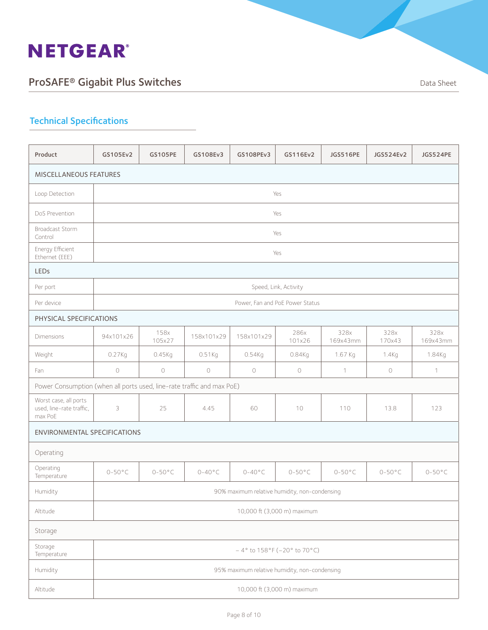

| Product                                                                | GS105Ev2                    | <b>GS105PE</b>   | GS108Ev3        | GS108PEv3                                     | GS116Ev2                             | <b>JGS516PE</b>  | JGS524Ev2        | JGS524PE         |
|------------------------------------------------------------------------|-----------------------------|------------------|-----------------|-----------------------------------------------|--------------------------------------|------------------|------------------|------------------|
| <b>MISCELLANEOUS FEATURES</b>                                          |                             |                  |                 |                                               |                                      |                  |                  |                  |
| Loop Detection                                                         |                             |                  |                 |                                               | Yes                                  |                  |                  |                  |
| DoS Prevention                                                         |                             |                  |                 |                                               | Yes                                  |                  |                  |                  |
| Broadcast Storm<br>Control                                             |                             |                  |                 |                                               | Yes                                  |                  |                  |                  |
| Energy Efficient<br>Ethernet (EEE)                                     |                             |                  |                 |                                               | Yes                                  |                  |                  |                  |
| <b>LEDs</b>                                                            |                             |                  |                 |                                               |                                      |                  |                  |                  |
| Per port                                                               |                             |                  |                 |                                               | Speed, Link, Activity                |                  |                  |                  |
| Per device                                                             |                             |                  |                 |                                               | Power, Fan and PoE Power Status      |                  |                  |                  |
| PHYSICAL SPECIFICATIONS                                                |                             |                  |                 |                                               |                                      |                  |                  |                  |
| <b>Dimensions</b>                                                      | 94x101x26                   | 158x<br>105x27   | 158x101x29      | 158x101x29                                    | 286x<br>101x26                       | 328x<br>169x43mm | 328x<br>170x43   | 328x<br>169x43mm |
| Weight                                                                 | 0.27Kg                      | 0.45Kq           | $0.51$ Kg       | 0.54Kq                                        | 0.84Kg                               | 1.67 Kg          | 1.4Kg            | 1.84Kg           |
| Fan                                                                    | $\circlearrowright$         | $\bigcirc$       | $\bigcirc$      | $\bigcirc$                                    | $\bigcirc$                           | $\mathbf{1}$     | $\bigcirc$       | $\mathcal{I}$    |
| Power Consumption (when all ports used, line-rate traffic and max PoE) |                             |                  |                 |                                               |                                      |                  |                  |                  |
| Worst case, all ports<br>used, line-rate traffic,<br>max PoE           | 3                           | 25               | 4.45            | 60                                            | 10                                   | 110              | 13.8             | 123              |
| <b>ENVIRONMENTAL SPECIFICATIONS</b>                                    |                             |                  |                 |                                               |                                      |                  |                  |                  |
| Operating                                                              |                             |                  |                 |                                               |                                      |                  |                  |                  |
| Operating<br>Temperature                                               | $0-50^{\circ}$ C            | $0-50^{\circ}$ C | $0-40\degree$ C | $0-40^{\circ}$ C                              | $0-50\degree C$                      | $0-50^{\circ}$ C | $0-50^{\circ}$ C | $0-50^{\circ}$ C |
| Humidity                                                               |                             |                  |                 | 90% maximum relative humidity, non-condensing |                                      |                  |                  |                  |
| Altitude                                                               | 10,000 ft (3,000 m) maximum |                  |                 |                                               |                                      |                  |                  |                  |
| Storage                                                                |                             |                  |                 |                                               |                                      |                  |                  |                  |
| Storage<br>Temperature                                                 |                             |                  |                 |                                               | $-4^{\circ}$ to 158°F (-20° to 70°C) |                  |                  |                  |
| Humidity                                                               |                             |                  |                 | 95% maximum relative humidity, non-condensing |                                      |                  |                  |                  |
| Altitude                                                               |                             |                  |                 |                                               | 10,000 ft (3,000 m) maximum          |                  |                  |                  |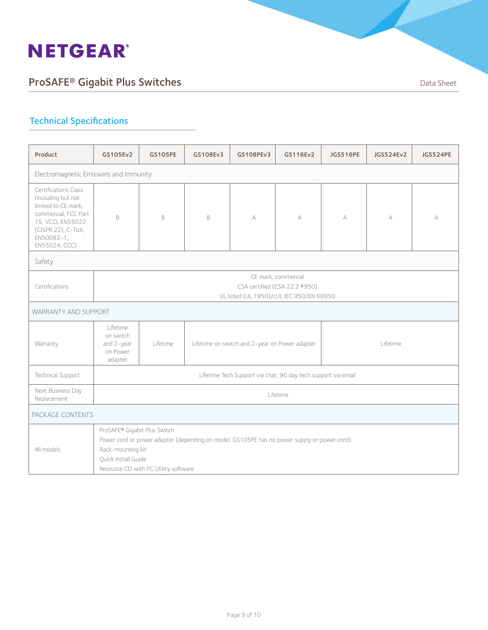

| Product                                                                                                                                                              | GS105Ev2                                                                                                                                                                                                        | <b>GS105PE</b> | GS108Ev3                                                   | GS108PEv3                                                     | GS116Ev2 | JGS516PE | JGS524Ev2 | JGS524PE |
|----------------------------------------------------------------------------------------------------------------------------------------------------------------------|-----------------------------------------------------------------------------------------------------------------------------------------------------------------------------------------------------------------|----------------|------------------------------------------------------------|---------------------------------------------------------------|----------|----------|-----------|----------|
| Electromagnetic Emissions and Immunity                                                                                                                               |                                                                                                                                                                                                                 |                |                                                            |                                                               |          |          |           |          |
| Certifications Class<br>(including but not<br>limited to CE mark,<br>commercial, FCC Part<br>15, VCCI, EN55022<br>(CISPR 22), C-Tick,<br>EN50082-1,<br>EN55024, CCC) | B.                                                                                                                                                                                                              | B              | B                                                          | А                                                             | A        | A        | A         | A        |
| Safety                                                                                                                                                               |                                                                                                                                                                                                                 |                |                                                            |                                                               |          |          |           |          |
| Certifications                                                                                                                                                       | CE mark, commercial<br>CSA certified (CSA 22.2 #950)<br>UL listed (UL 1950)/cUL IEC 950/EN 60950                                                                                                                |                |                                                            |                                                               |          |          |           |          |
| <b>WARRANTY AND SUPPORT</b>                                                                                                                                          |                                                                                                                                                                                                                 |                |                                                            |                                                               |          |          |           |          |
| Warranty                                                                                                                                                             | I ifetime<br>on switch<br>and 2-year<br>on Power<br>adapter                                                                                                                                                     | Lifetime       | Lifetime on switch and 2-year on Power adapter<br>Lifetime |                                                               |          |          |           |          |
| Technical Support                                                                                                                                                    |                                                                                                                                                                                                                 |                |                                                            | Lifetime Tech Support via chat, 90 day tech support via email |          |          |           |          |
| Next Business Day<br>Replacement                                                                                                                                     | Lifetime                                                                                                                                                                                                        |                |                                                            |                                                               |          |          |           |          |
| PACKAGE CONTENTS                                                                                                                                                     |                                                                                                                                                                                                                 |                |                                                            |                                                               |          |          |           |          |
| All models                                                                                                                                                           | ProSAFE® Gigabit Plus Switch<br>Power cord or power adapter (depending on model; GS105PE has no power supply or power cord)<br>Rack-mounting kit<br>Quick Install Guide<br>Resource CD with PC Utility software |                |                                                            |                                                               |          |          |           |          |